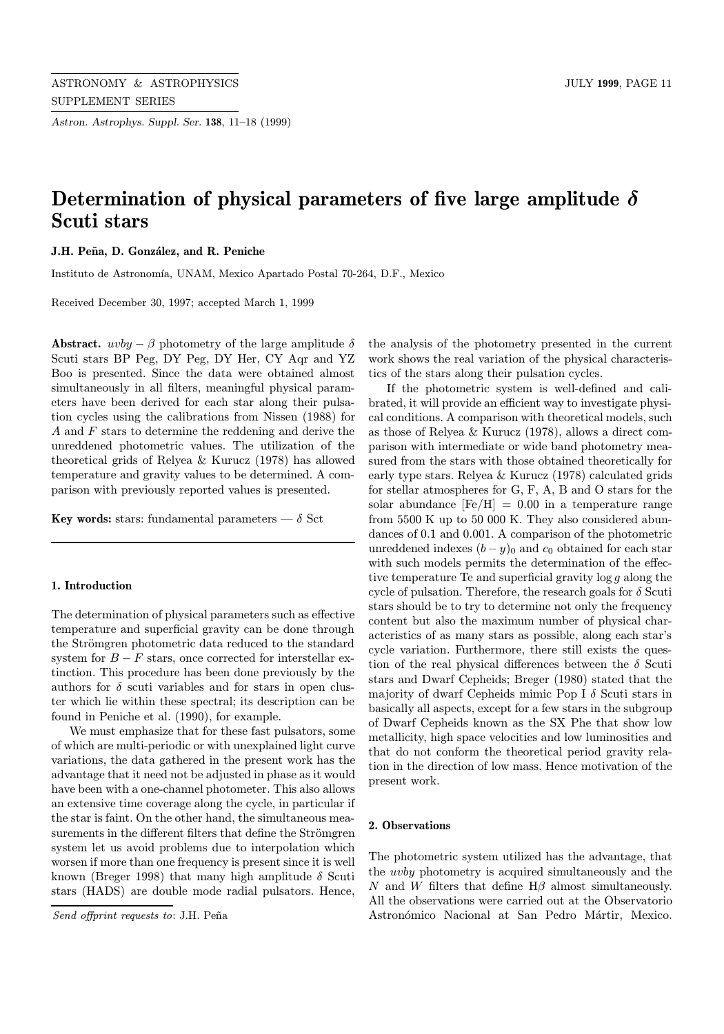Astron. Astrophys. Suppl. Ser. 138, 11–18 (1999)

# Determination of physical parameters of five large amplitude  $\delta$ Scuti stars

J.H. Peña, D. González, and R. Peniche

Instituto de Astronomía, UNAM, Mexico Apartado Postal 70-264, D.F., Mexico

Received December 30, 1997; accepted March 1, 1999

Abstract.  $uvby - \beta$  photometry of the large amplitude  $\delta$ Scuti stars BP Peg, DY Peg, DY Her, CY Aqr and YZ Boo is presented. Since the data were obtained almost simultaneously in all filters, meaningful physical parameters have been derived for each star along their pulsation cycles using the calibrations from Nissen (1988) for A and F stars to determine the reddening and derive the unreddened photometric values. The utilization of the theoretical grids of Relyea & Kurucz (1978) has allowed temperature and gravity values to be determined. A comparison with previously reported values is presented.

Key words: stars: fundamental parameters  $-\delta$  Sct

# 1. Introduction

The determination of physical parameters such as effective temperature and superficial gravity can be done through the Strömgren photometric data reduced to the standard system for  $B - F$  stars, once corrected for interstellar extinction. This procedure has been done previously by the authors for  $\delta$  scuti variables and for stars in open cluster which lie within these spectral; its description can be found in Peniche et al. (1990), for example.

We must emphasize that for these fast pulsators, some of which are multi-periodic or with unexplained light curve variations, the data gathered in the present work has the advantage that it need not be adjusted in phase as it would have been with a one-channel photometer. This also allows an extensive time coverage along the cycle, in particular if the star is faint. On the other hand, the simultaneous measurements in the different filters that define the Strömgren system let us avoid problems due to interpolation which worsen if more than one frequency is present since it is well known (Breger 1998) that many high amplitude  $\delta$  Scuti stars (HADS) are double mode radial pulsators. Hence,

Send offprint requests to: J.H. Peña

the analysis of the photometry presented in the current work shows the real variation of the physical characteristics of the stars along their pulsation cycles.

If the photometric system is well-defined and calibrated, it will provide an efficient way to investigate physical conditions. A comparison with theoretical models, such as those of Relyea & Kurucz (1978), allows a direct comparison with intermediate or wide band photometry measured from the stars with those obtained theoretically for early type stars. Relyea & Kurucz (1978) calculated grids for stellar atmospheres for G, F, A, B and O stars for the solar abundance  $[Fe/H] = 0.00$  in a temperature range from 5500 K up to 50 000 K. They also considered abundances of 0.1 and 0.001. A comparison of the photometric unreddened indexes  $(b - y)_0$  and  $c_0$  obtained for each star with such models permits the determination of the effective temperature Te and superficial gravity log g along the cycle of pulsation. Therefore, the research goals for  $\delta$  Scuti stars should be to try to determine not only the frequency content but also the maximum number of physical characteristics of as many stars as possible, along each star's cycle variation. Furthermore, there still exists the question of the real physical differences between the  $\delta$  Scuti stars and Dwarf Cepheids; Breger (1980) stated that the majority of dwarf Cepheids mimic Pop I  $\delta$  Scuti stars in basically all aspects, except for a few stars in the subgroup of Dwarf Cepheids known as the SX Phe that show low metallicity, high space velocities and low luminosities and that do not conform the theoretical period gravity relation in the direction of low mass. Hence motivation of the present work.

## 2. Observations

The photometric system utilized has the advantage, that the uvby photometry is acquired simultaneously and the N and W filters that define  $H\beta$  almost simultaneously. All the observations were carried out at the Observatorio Astronómico Nacional at San Pedro Mártir, Mexico.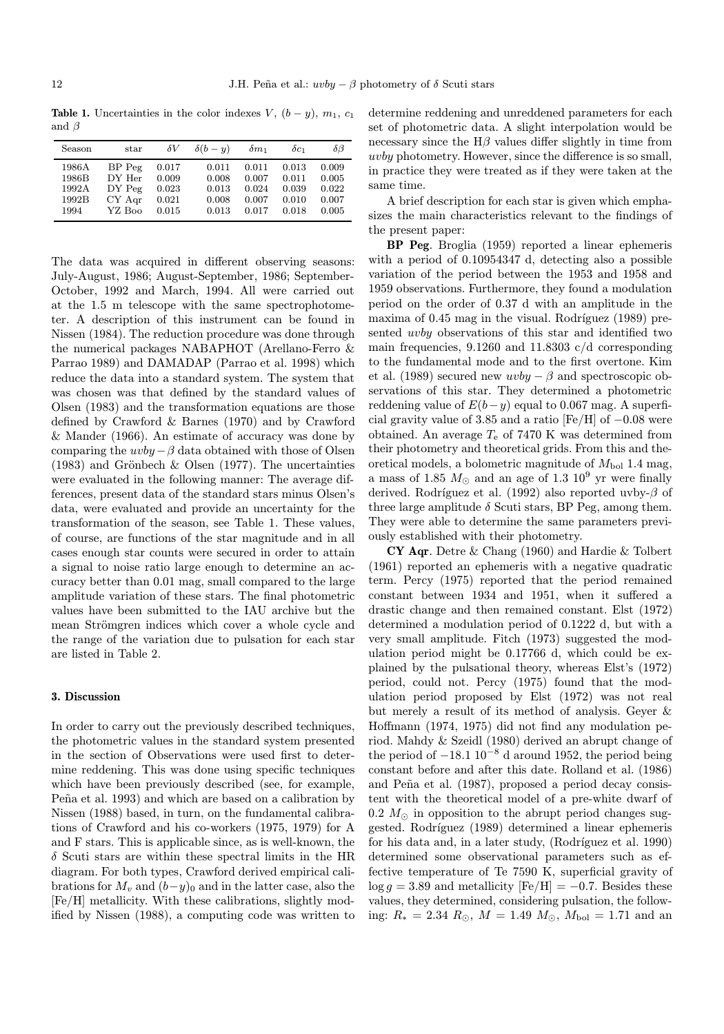Table 1. Uncertainties in the color indexes V,  $(b - y)$ ,  $m_1$ ,  $c_1$ and β

| Season | star     | $\delta V$ | $\delta(b-y)$ | $\delta m_1$ | $\delta c_1$ | δβ    |
|--------|----------|------------|---------------|--------------|--------------|-------|
| 1986A  | $BP$ Peg | 0.017      | 0.011         | 0.011        | 0.013        | 0.009 |
| 1986B  | DY Her   | 0.009      | 0.008         | 0.007        | 0.011        | 0.005 |
| 1992A  | $DY$ Peg | 0.023      | 0.013         | 0.024        | 0.039        | 0.022 |
| 1992B  | CY Agr   | 0.021      | 0.008         | 0.007        | 0.010        | 0.007 |
| 1994   | YZ Boo   | 0.015      | 0.013         | 0.017        | 0.018        | 0.005 |

The data was acquired in different observing seasons: July-August, 1986; August-September, 1986; September-October, 1992 and March, 1994. All were carried out at the 1.5 m telescope with the same spectrophotometer. A description of this instrument can be found in Nissen (1984). The reduction procedure was done through the numerical packages NABAPHOT (Arellano-Ferro & Parrao 1989) and DAMADAP (Parrao et al. 1998) which reduce the data into a standard system. The system that was chosen was that defined by the standard values of Olsen (1983) and the transformation equations are those defined by Crawford & Barnes (1970) and by Crawford & Mander (1966). An estimate of accuracy was done by comparing the  $uvby-\beta$  data obtained with those of Olsen  $(1983)$  and Grönbech & Olsen  $(1977)$ . The uncertainties were evaluated in the following manner: The average differences, present data of the standard stars minus Olsen's data, were evaluated and provide an uncertainty for the transformation of the season, see Table 1. These values, of course, are functions of the star magnitude and in all cases enough star counts were secured in order to attain a signal to noise ratio large enough to determine an accuracy better than 0.01 mag, small compared to the large amplitude variation of these stars. The final photometric values have been submitted to the IAU archive but the mean Strömgren indices which cover a whole cycle and the range of the variation due to pulsation for each star are listed in Table 2.

# 3. Discussion

In order to carry out the previously described techniques, the photometric values in the standard system presented in the section of Observations were used first to determine reddening. This was done using specific techniques which have been previously described (see, for example, Peña et al. 1993) and which are based on a calibration by Nissen (1988) based, in turn, on the fundamental calibrations of Crawford and his co-workers (1975, 1979) for A and F stars. This is applicable since, as is well-known, the  $\delta$  Scuti stars are within these spectral limits in the HR diagram. For both types, Crawford derived empirical calibrations for  $M_v$  and  $(b-y)_0$  and in the latter case, also the [Fe/H] metallicity. With these calibrations, slightly modified by Nissen (1988), a computing code was written to

determine reddening and unreddened parameters for each set of photometric data. A slight interpolation would be necessary since the  $H\beta$  values differ slightly in time from uvby photometry. However, since the difference is so small, in practice they were treated as if they were taken at the same time.

A brief description for each star is given which emphasizes the main characteristics relevant to the findings of the present paper:

BP Peg. Broglia (1959) reported a linear ephemeris with a period of 0.10954347 d, detecting also a possible variation of the period between the 1953 and 1958 and 1959 observations. Furthermore, they found a modulation period on the order of 0.37 d with an amplitude in the maxima of  $0.45$  mag in the visual. Rodríguez  $(1989)$  presented uvby observations of this star and identified two main frequencies, 9.1260 and 11.8303 c/d corresponding to the fundamental mode and to the first overtone. Kim et al. (1989) secured new  $uvby - \beta$  and spectroscopic observations of this star. They determined a photometric reddening value of  $E(b-y)$  equal to 0.067 mag. A superficial gravity value of 3.85 and a ratio [Fe/H] of  $-0.08$  were obtained. An average  $T_e$  of 7470 K was determined from their photometry and theoretical grids. From this and theoretical models, a bolometric magnitude of  $M_{bol}$  1.4 mag, a mass of 1.85  $M_{\odot}$  and an age of 1.3  $10^9$  yr were finally derived. Rodríguez et al. (1992) also reported uvby- $\beta$  of three large amplitude  $\delta$  Scuti stars, BP Peg, among them. They were able to determine the same parameters previously established with their photometry.

CY Aqr. Detre & Chang (1960) and Hardie & Tolbert (1961) reported an ephemeris with a negative quadratic term. Percy (1975) reported that the period remained constant between 1934 and 1951, when it suffered a drastic change and then remained constant. Elst (1972) determined a modulation period of 0.1222 d, but with a very small amplitude. Fitch (1973) suggested the modulation period might be 0.17766 d, which could be explained by the pulsational theory, whereas Elst's (1972) period, could not. Percy (1975) found that the modulation period proposed by Elst (1972) was not real but merely a result of its method of analysis. Geyer & Hoffmann (1974, 1975) did not find any modulation period. Mahdy & Szeidl (1980) derived an abrupt change of the period of  $-18.1 \times 10^{-8}$  d around 1952, the period being constant before and after this date. Rolland et al. (1986) and Peña et al. (1987), proposed a period decay consistent with the theoretical model of a pre-white dwarf of  $0.2 M_{\odot}$  in opposition to the abrupt period changes suggested. Rodríguez (1989) determined a linear ephemeris for his data and, in a later study, (Rodríguez et al. 1990) determined some observational parameters such as effective temperature of Te 7590 K, superficial gravity of  $\log g = 3.89$  and metallicity  $[Fe/H] = -0.7$ . Besides these values, they determined, considering pulsation, the following:  $R_* = 2.34 \, R_\odot$ ,  $M = 1.49 \, M_\odot$ ,  $M_{\text{bol}} = 1.71$  and an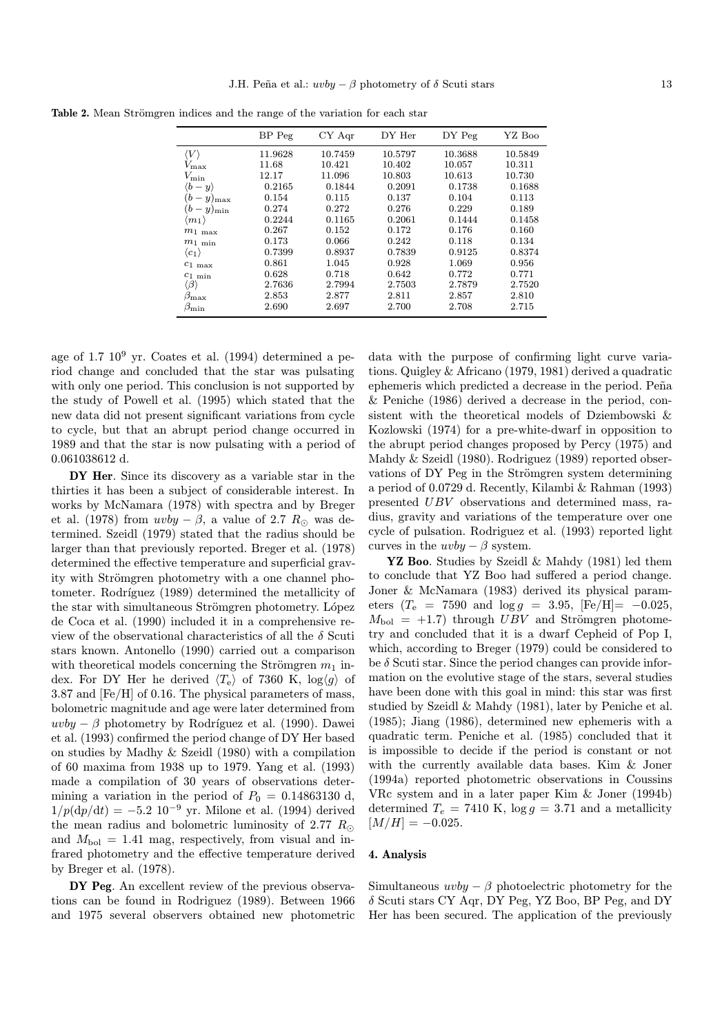|                             | BP Peg  | $CY$ Aqr | DY Her  | DY Peg  | YZ Boo  |
|-----------------------------|---------|----------|---------|---------|---------|
| $\langle V \rangle$         | 11.9628 | 10.7459  | 10.5797 | 10.3688 | 10.5849 |
| $V_{\rm max}$               | 11.68   | 10.421   | 10.402  | 10.057  | 10.311  |
| $V_{\rm min}$               | 12.17   | 11.096   | 10.803  | 10.613  | 10.730  |
| $\langle b-y \rangle$       | 0.2165  | 0.1844   | 0.2091  | 0.1738  | 0.1688  |
| $(b -$<br>$y)_{\text{max}}$ | 0.154   | 0.115    | 0.137   | 0.104   | 0.113   |
| $(b-y)_{\min}$              | 0.274   | 0.272    | 0.276   | 0.229   | 0.189   |
| $\langle m_1 \rangle$       | 0.2244  | 0.1165   | 0.2061  | 0.1444  | 0.1458  |
| $m_{1}$ max                 | 0.267   | 0.152    | 0.172   | 0.176   | 0.160   |
| $m_{1 \text{ min}}$         | 0.173   | 0.066    | 0.242   | 0.118   | 0.134   |
| $\langle c_1 \rangle$       | 0.7399  | 0.8937   | 0.7839  | 0.9125  | 0.8374  |
| $c_{1}$ max                 | 0.861   | 1.045    | 0.928   | 1.069   | 0.956   |
| $c_{1 \text{ min}}$         | 0.628   | 0.718    | 0.642   | 0.772   | 0.771   |
| $\langle \beta \rangle$     | 2.7636  | 2.7994   | 2.7503  | 2.7879  | 2.7520  |
| $\beta_{\rm max}$           | 2.853   | 2.877    | 2.811   | 2.857   | 2.810   |
| $\beta_{\rm min}$           | 2.690   | 2.697    | 2.700   | 2.708   | 2.715   |

Table 2. Mean Strömgren indices and the range of the variation for each star

age of  $1.7 \times 10^9$  yr. Coates et al. (1994) determined a period change and concluded that the star was pulsating with only one period. This conclusion is not supported by the study of Powell et al. (1995) which stated that the new data did not present significant variations from cycle to cycle, but that an abrupt period change occurred in 1989 and that the star is now pulsating with a period of 0.061038612 d.

DY Her. Since its discovery as a variable star in the thirties it has been a subject of considerable interest. In works by McNamara (1978) with spectra and by Breger et al. (1978) from  $uvby - \beta$ , a value of 2.7  $R_{\odot}$  was determined. Szeidl (1979) stated that the radius should be larger than that previously reported. Breger et al. (1978) determined the effective temperature and superficial gravity with Strömgren photometry with a one channel photometer. Rodríguez (1989) determined the metallicity of the star with simultaneous Strömgren photometry. López de Coca et al. (1990) included it in a comprehensive review of the observational characteristics of all the  $\delta$  Scuti stars known. Antonello (1990) carried out a comparison with theoretical models concerning the Strömgren  $m_1$  index. For DY Her he derived  $\langle T_e \rangle$  of 7360 K, log $\langle g \rangle$  of 3.87 and [Fe/H] of 0.16. The physical parameters of mass, bolometric magnitude and age were later determined from uvby  $-\beta$  photometry by Rodríguez et al. (1990). Dawei et al. (1993) confirmed the period change of DY Her based on studies by Madhy & Szeidl (1980) with a compilation of 60 maxima from 1938 up to 1979. Yang et al. (1993) made a compilation of 30 years of observations determining a variation in the period of  $P_0 = 0.14863130$  d,  $1/p(\mathrm{d}p/\mathrm{d}t) = -5.2 \, 10^{-9} \, \text{yr}$ . Milone et al. (1994) derived the mean radius and bolometric luminosity of 2.77  $R_{\odot}$ and  $M_{\text{bol}} = 1.41$  mag, respectively, from visual and infrared photometry and the effective temperature derived by Breger et al. (1978).

DY Peg. An excellent review of the previous observations can be found in Rodriguez (1989). Between 1966 and 1975 several observers obtained new photometric

data with the purpose of confirming light curve variations. Quigley & Africano (1979, 1981) derived a quadratic ephemeris which predicted a decrease in the period. Peña & Peniche (1986) derived a decrease in the period, consistent with the theoretical models of Dziembowski & Kozlowski (1974) for a pre-white-dwarf in opposition to the abrupt period changes proposed by Percy (1975) and Mahdy & Szeidl (1980). Rodriguez (1989) reported observations of DY Peg in the Strömgren system determining a period of 0.0729 d. Recently, Kilambi & Rahman (1993) presented UBV observations and determined mass, radius, gravity and variations of the temperature over one cycle of pulsation. Rodriguez et al. (1993) reported light curves in the  $uvby - \beta$  system.

YZ Boo. Studies by Szeidl & Mahdy (1981) led them to conclude that YZ Boo had suffered a period change. Joner & McNamara (1983) derived its physical parameters ( $T_e$  = 7590 and  $\log g$  = 3.95, [Fe/H]= -0.025,  $M_{\text{bol}}$  = +1.7) through UBV and Strömgren photometry and concluded that it is a dwarf Cepheid of Pop I, which, according to Breger (1979) could be considered to be  $\delta$  Scuti star. Since the period changes can provide information on the evolutive stage of the stars, several studies have been done with this goal in mind: this star was first studied by Szeidl & Mahdy (1981), later by Peniche et al. (1985); Jiang (1986), determined new ephemeris with a quadratic term. Peniche et al. (1985) concluded that it is impossible to decide if the period is constant or not with the currently available data bases. Kim & Joner (1994a) reported photometric observations in Coussins VRc system and in a later paper Kim & Joner (1994b) determined  $T_e = 7410 \text{ K}$ ,  $\log g = 3.71$  and a metallicity  $[M/H] = -0.025.$ 

## 4. Analysis

Simultaneous  $uvby - \beta$  photoelectric photometry for the δ Scuti stars CY Aqr, DY Peg, YZ Boo, BP Peg, and DY Her has been secured. The application of the previously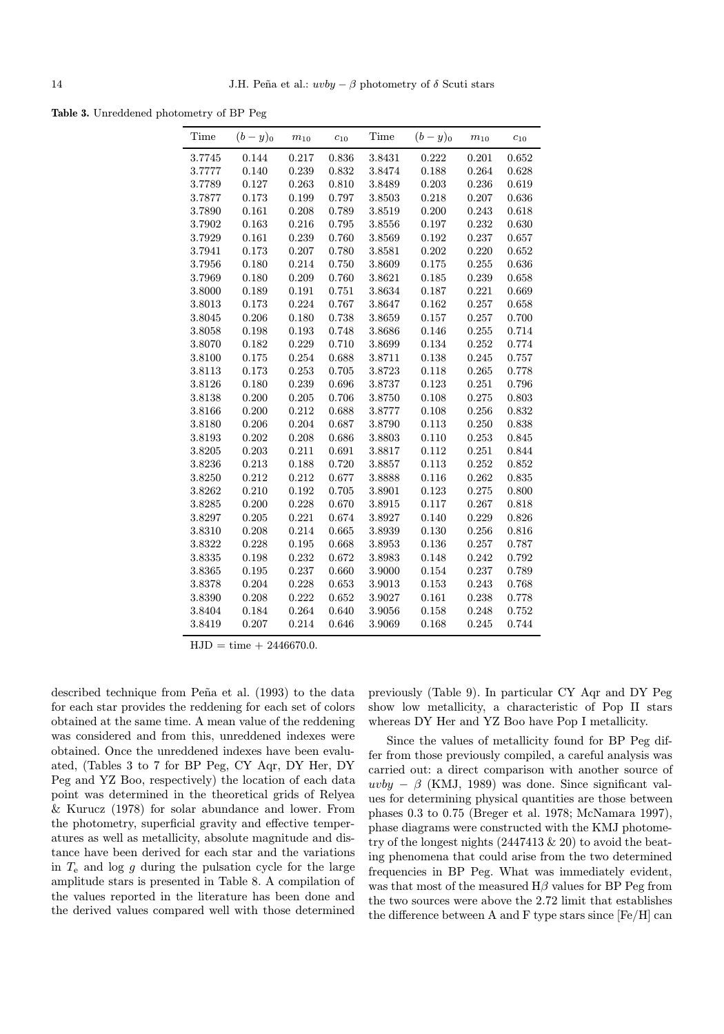Table 3. Unreddened photometry of BP Peg

| Time   | $(b-y)_0$ | $m_{10}$ | $c_{10}$ | Time   | $(b-y)_0$ | $m_{10}$ | $c_{10}$ |
|--------|-----------|----------|----------|--------|-----------|----------|----------|
| 3.7745 | 0.144     | 0.217    | 0.836    | 3.8431 | 0.222     | 0.201    | 0.652    |
| 3.7777 | 0.140     | 0.239    | 0.832    | 3.8474 | 0.188     | 0.264    | 0.628    |
| 3.7789 | 0.127     | 0.263    | 0.810    | 3.8489 | 0.203     | 0.236    | 0.619    |
| 3.7877 | 0.173     | 0.199    | 0.797    | 3.8503 | 0.218     | 0.207    | 0.636    |
| 3.7890 | 0.161     | 0.208    | 0.789    | 3.8519 | 0.200     | 0.243    | 0.618    |
| 3.7902 | 0.163     | 0.216    | 0.795    | 3.8556 | 0.197     | 0.232    | 0.630    |
| 3.7929 | 0.161     | 0.239    | 0.760    | 3.8569 | 0.192     | 0.237    | 0.657    |
| 3.7941 | 0.173     | 0.207    | 0.780    | 3.8581 | 0.202     | 0.220    | 0.652    |
| 3.7956 | 0.180     | 0.214    | 0.750    | 3.8609 | 0.175     | 0.255    | 0.636    |
| 3.7969 | 0.180     | 0.209    | 0.760    | 3.8621 | 0.185     | 0.239    | 0.658    |
| 3.8000 | 0.189     | 0.191    | 0.751    | 3.8634 | 0.187     | 0.221    | 0.669    |
| 3.8013 | 0.173     | 0.224    | 0.767    | 3.8647 | 0.162     | 0.257    | 0.658    |
| 3.8045 | 0.206     | 0.180    | 0.738    | 3.8659 | 0.157     | 0.257    | 0.700    |
| 3.8058 | 0.198     | 0.193    | 0.748    | 3.8686 | 0.146     | 0.255    | 0.714    |
| 3.8070 | 0.182     | 0.229    | 0.710    | 3.8699 | 0.134     | 0.252    | 0.774    |
| 3.8100 | 0.175     | 0.254    | 0.688    | 3.8711 | 0.138     | 0.245    | 0.757    |
| 3.8113 | 0.173     | 0.253    | 0.705    | 3.8723 | 0.118     | 0.265    | 0.778    |
| 3.8126 | 0.180     | 0.239    | 0.696    | 3.8737 | 0.123     | 0.251    | 0.796    |
| 3.8138 | 0.200     | 0.205    | 0.706    | 3.8750 | 0.108     | 0.275    | 0.803    |
| 3.8166 | 0.200     | 0.212    | 0.688    | 3.8777 | 0.108     | 0.256    | 0.832    |
| 3.8180 | 0.206     | 0.204    | 0.687    | 3.8790 | 0.113     | 0.250    | 0.838    |
| 3.8193 | 0.202     | 0.208    | 0.686    | 3.8803 | 0.110     | 0.253    | 0.845    |
| 3.8205 | 0.203     | 0.211    | 0.691    | 3.8817 | 0.112     | 0.251    | 0.844    |
| 3.8236 | 0.213     | 0.188    | 0.720    | 3.8857 | 0.113     | 0.252    | 0.852    |
| 3.8250 | 0.212     | 0.212    | 0.677    | 3.8888 | 0.116     | 0.262    | 0.835    |
| 3.8262 | 0.210     | 0.192    | 0.705    | 3.8901 | 0.123     | 0.275    | 0.800    |
| 3.8285 | 0.200     | 0.228    | 0.670    | 3.8915 | 0.117     | 0.267    | 0.818    |
| 3.8297 | 0.205     | 0.221    | 0.674    | 3.8927 | 0.140     | 0.229    | 0.826    |
| 3.8310 | 0.208     | 0.214    | 0.665    | 3.8939 | 0.130     | 0.256    | 0.816    |
| 3.8322 | 0.228     | 0.195    | 0.668    | 3.8953 | 0.136     | 0.257    | 0.787    |
| 3.8335 | 0.198     | 0.232    | 0.672    | 3.8983 | 0.148     | 0.242    | 0.792    |
| 3.8365 | 0.195     | 0.237    | 0.660    | 3.9000 | 0.154     | 0.237    | 0.789    |
| 3.8378 | 0.204     | 0.228    | 0.653    | 3.9013 | 0.153     | 0.243    | 0.768    |
| 3.8390 | 0.208     | 0.222    | 0.652    | 3.9027 | 0.161     | 0.238    | 0.778    |
| 3.8404 | 0.184     | 0.264    | 0.640    | 3.9056 | 0.158     | 0.248    | 0.752    |
| 3.8419 | 0.207     | 0.214    | 0.646    | 3.9069 | 0.168     | 0.245    | 0.744    |

 $HJD = time + 2446670.0.$ 

described technique from Peña et al. (1993) to the data for each star provides the reddening for each set of colors obtained at the same time. A mean value of the reddening was considered and from this, unreddened indexes were obtained. Once the unreddened indexes have been evaluated, (Tables 3 to 7 for BP Peg, CY Aqr, DY Her, DY Peg and YZ Boo, respectively) the location of each data point was determined in the theoretical grids of Relyea & Kurucz (1978) for solar abundance and lower. From the photometry, superficial gravity and effective temperatures as well as metallicity, absolute magnitude and distance have been derived for each star and the variations in  $T_e$  and log g during the pulsation cycle for the large amplitude stars is presented in Table 8. A compilation of the values reported in the literature has been done and the derived values compared well with those determined

previously (Table 9). In particular CY Aqr and DY Peg show low metallicity, a characteristic of Pop II stars whereas DY Her and YZ Boo have Pop I metallicity.

Since the values of metallicity found for BP Peg differ from those previously compiled, a careful analysis was carried out: a direct comparison with another source of  $uvby - \beta$  (KMJ, 1989) was done. Since significant values for determining physical quantities are those between phases 0.3 to 0.75 (Breger et al. 1978; McNamara 1997), phase diagrams were constructed with the KMJ photometry of the longest nights (2447413 & 20) to avoid the beating phenomena that could arise from the two determined frequencies in BP Peg. What was immediately evident, was that most of the measured  $H\beta$  values for BP Peg from the two sources were above the 2.72 limit that establishes the difference between A and F type stars since [Fe/H] can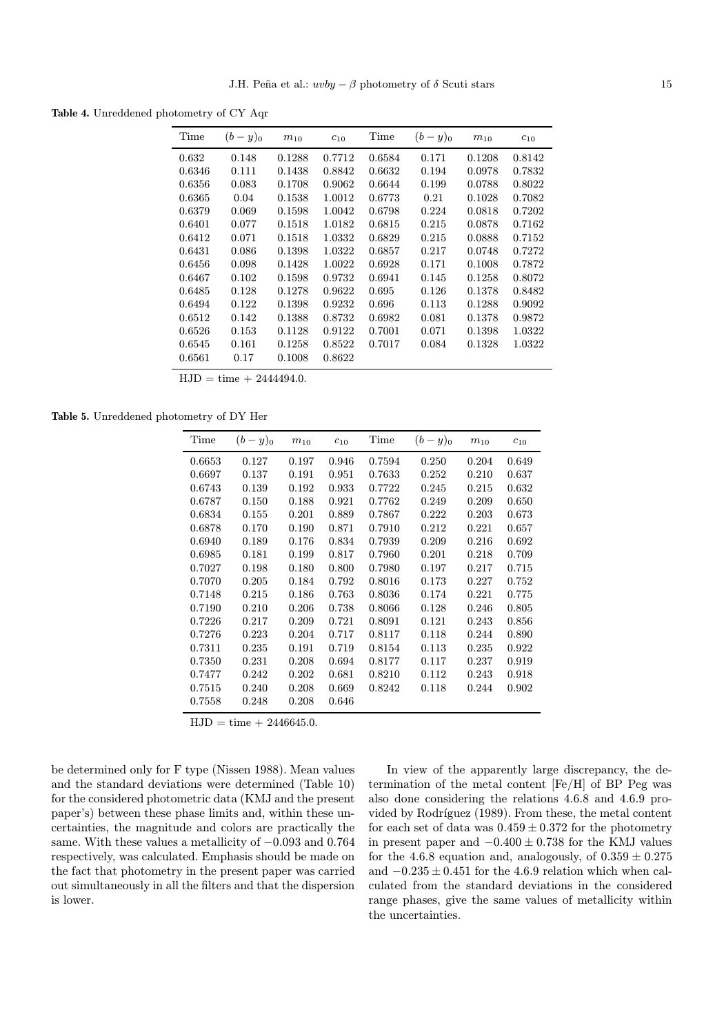Table 4. Unreddened photometry of CY Aqr

| Time   | $(b-y)_0$ | $m_{10}$ | $c_{10}$ | Time   | $(b-y)_0$ | $m_{10}$ | $c_{10}$ |
|--------|-----------|----------|----------|--------|-----------|----------|----------|
| 0.632  | 0.148     | 0.1288   | 0.7712   | 0.6584 | 0.171     | 0.1208   | 0.8142   |
| 0.6346 | 0.111     | 0.1438   | 0.8842   | 0.6632 | 0.194     | 0.0978   | 0.7832   |
| 0.6356 | 0.083     | 0.1708   | 0.9062   | 0.6644 | 0.199     | 0.0788   | 0.8022   |
| 0.6365 | 0.04      | 0.1538   | 1.0012   | 0.6773 | 0.21      | 0.1028   | 0.7082   |
| 0.6379 | 0.069     | 0.1598   | 1.0042   | 0.6798 | 0.224     | 0.0818   | 0.7202   |
| 0.6401 | 0.077     | 0.1518   | 1.0182   | 0.6815 | 0.215     | 0.0878   | 0.7162   |
| 0.6412 | 0.071     | 0.1518   | 1.0332   | 0.6829 | 0.215     | 0.0888   | 0.7152   |
| 0.6431 | 0.086     | 0.1398   | 1.0322   | 0.6857 | 0.217     | 0.0748   | 0.7272   |
| 0.6456 | 0.098     | 0.1428   | 1.0022   | 0.6928 | 0.171     | 0.1008   | 0.7872   |
| 0.6467 | 0.102     | 0.1598   | 0.9732   | 0.6941 | 0.145     | 0.1258   | 0.8072   |
| 0.6485 | 0.128     | 0.1278   | 0.9622   | 0.695  | 0.126     | 0.1378   | 0.8482   |
| 0.6494 | 0.122     | 0.1398   | 0.9232   | 0.696  | 0.113     | 0.1288   | 0.9092   |
| 0.6512 | 0.142     | 0.1388   | 0.8732   | 0.6982 | 0.081     | 0.1378   | 0.9872   |
| 0.6526 | 0.153     | 0.1128   | 0.9122   | 0.7001 | 0.071     | 0.1398   | 1.0322   |
| 0.6545 | 0.161     | 0.1258   | 0.8522   | 0.7017 | 0.084     | 0.1328   | 1.0322   |
| 0.6561 | 0.17      | 0.1008   | 0.8622   |        |           |          |          |
|        |           |          |          |        |           |          |          |

 $HJD = time + 2444494.0.$ 

Table 5. Unreddened photometry of DY Her

| Time   | $(b-y)_0$ | $m_{10}$ | $c_{10}$ | Time   | $(b-y)_0$ | $m_{10}$ | $c_{10}$ |
|--------|-----------|----------|----------|--------|-----------|----------|----------|
| 0.6653 | 0.127     | 0.197    | 0.946    | 0.7594 | 0.250     | 0.204    | 0.649    |
| 0.6697 | 0.137     | 0.191    | 0.951    | 0.7633 | 0.252     | 0.210    | 0.637    |
| 0.6743 | 0.139     | 0.192    | 0.933    | 0.7722 | 0.245     | 0.215    | 0.632    |
| 0.6787 | 0.150     | 0.188    | 0.921    | 0.7762 | 0.249     | 0.209    | 0.650    |
| 0.6834 | 0.155     | 0.201    | 0.889    | 0.7867 | 0.222     | 0.203    | 0.673    |
| 0.6878 | 0.170     | 0.190    | 0.871    | 0.7910 | 0.212     | 0.221    | 0.657    |
| 0.6940 | 0.189     | 0.176    | 0.834    | 0.7939 | 0.209     | 0.216    | 0.692    |
| 0.6985 | 0.181     | 0.199    | 0.817    | 0.7960 | 0.201     | 0.218    | 0.709    |
| 0.7027 | 0.198     | 0.180    | 0.800    | 0.7980 | 0.197     | 0.217    | 0.715    |
| 0.7070 | 0.205     | 0.184    | 0.792    | 0.8016 | 0.173     | 0.227    | 0.752    |
| 0.7148 | 0.215     | 0.186    | 0.763    | 0.8036 | 0.174     | 0.221    | 0.775    |
| 0.7190 | 0.210     | 0.206    | 0.738    | 0.8066 | 0.128     | 0.246    | 0.805    |
| 0.7226 | 0.217     | 0.209    | 0.721    | 0.8091 | 0.121     | 0.243    | 0.856    |
| 0.7276 | 0.223     | 0.204    | 0.717    | 0.8117 | 0.118     | 0.244    | 0.890    |
| 0.7311 | 0.235     | 0.191    | 0.719    | 0.8154 | 0.113     | 0.235    | 0.922    |
| 0.7350 | 0.231     | 0.208    | 0.694    | 0.8177 | 0.117     | 0.237    | 0.919    |
| 0.7477 | 0.242     | 0.202    | 0.681    | 0.8210 | 0.112     | 0.243    | 0.918    |
| 0.7515 | 0.240     | 0.208    | 0.669    | 0.8242 | 0.118     | 0.244    | 0.902    |
| 0.7558 | 0.248     | 0.208    | 0.646    |        |           |          |          |

 $HJD = time + 2446645.0.$ 

be determined only for F type (Nissen 1988). Mean values and the standard deviations were determined (Table 10) for the considered photometric data (KMJ and the present paper's) between these phase limits and, within these uncertainties, the magnitude and colors are practically the same. With these values a metallicity of  $-0.093$  and 0.764 respectively, was calculated. Emphasis should be made on the fact that photometry in the present paper was carried out simultaneously in all the filters and that the dispersion is lower.

In view of the apparently large discrepancy, the determination of the metal content [Fe/H] of BP Peg was also done considering the relations 4.6.8 and 4.6.9 provided by Rodríguez (1989). From these, the metal content for each set of data was  $0.459 \pm 0.372$  for the photometry in present paper and −0.400 ± 0.738 for the KMJ values for the 4.6.8 equation and, analogously, of  $0.359 \pm 0.275$ and  $-0.235 \pm 0.451$  for the 4.6.9 relation which when calculated from the standard deviations in the considered range phases, give the same values of metallicity within the uncertainties.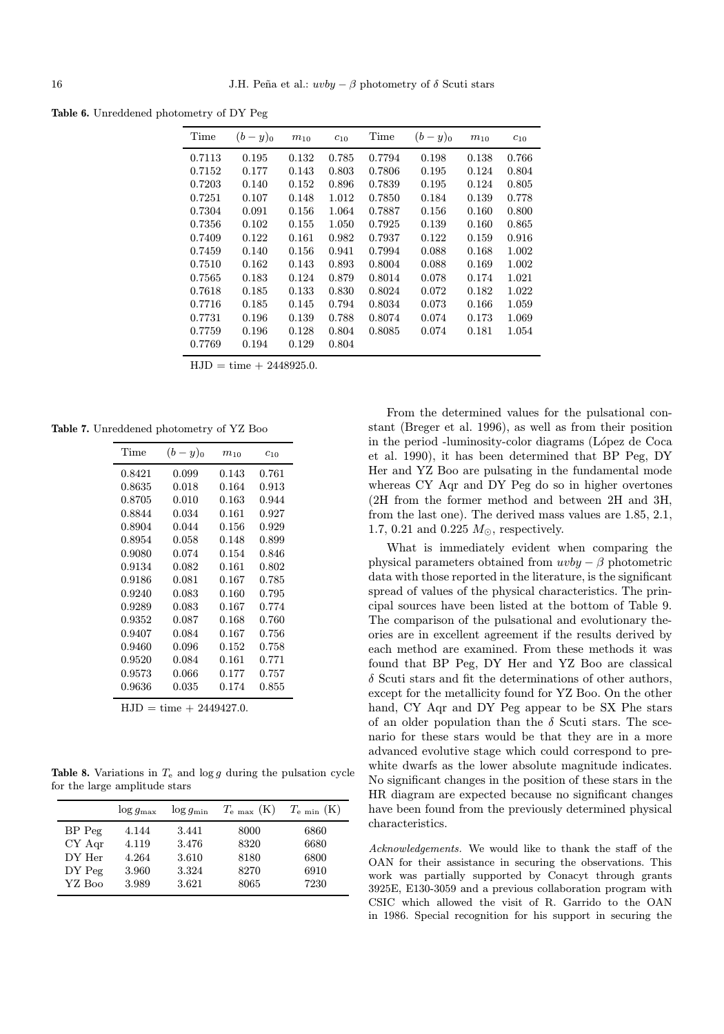Table 6. Unreddened photometry of DY Peg

| Time   | $(b-y)_0$ | $m_{10}$ | $c_{10}$ | Time   | $(b-y)_0$ | $m_{10}$ | $c_{10}$ |
|--------|-----------|----------|----------|--------|-----------|----------|----------|
| 0.7113 | 0.195     | 0.132    | 0.785    | 0.7794 | 0.198     | 0.138    | 0.766    |
| 0.7152 | 0.177     | 0.143    | 0.803    | 0.7806 | 0.195     | 0.124    | 0.804    |
| 0.7203 | 0.140     | 0.152    | 0.896    | 0.7839 | 0.195     | 0.124    | 0.805    |
| 0.7251 | 0.107     | 0.148    | 1.012    | 0.7850 | 0.184     | 0.139    | 0.778    |
| 0.7304 | 0.091     | 0.156    | 1.064    | 0.7887 | 0.156     | 0.160    | 0.800    |
| 0.7356 | 0.102     | 0.155    | 1.050    | 0.7925 | 0.139     | 0.160    | 0.865    |
| 0.7409 | 0.122     | 0.161    | 0.982    | 0.7937 | 0.122     | 0.159    | 0.916    |
| 0.7459 | 0.140     | 0.156    | 0.941    | 0.7994 | 0.088     | 0.168    | 1.002    |
| 0.7510 | 0.162     | 0.143    | 0.893    | 0.8004 | 0.088     | 0.169    | 1.002    |
| 0.7565 | 0.183     | 0.124    | 0.879    | 0.8014 | 0.078     | 0.174    | 1.021    |
| 0.7618 | 0.185     | 0.133    | 0.830    | 0.8024 | 0.072     | 0.182    | 1.022    |
| 0.7716 | 0.185     | 0.145    | 0.794    | 0.8034 | 0.073     | 0.166    | 1.059    |
| 0.7731 | 0.196     | 0.139    | 0.788    | 0.8074 | 0.074     | 0.173    | 1.069    |
| 0.7759 | 0.196     | 0.128    | 0.804    | 0.8085 | 0.074     | 0.181    | 1.054    |
| 0.7769 | 0.194     | 0.129    | 0.804    |        |           |          |          |

 $HJD = time + 2448925.0.$ 

Table 7. Unreddened photometry of YZ Boo

| Time   | $(b-y)_0$ | $m_{10}$ | $c_{10}$  |
|--------|-----------|----------|-----------|
| 0.8421 | 0.099     | 0.143    | ${0.761}$ |
| 0.8635 | 0.018     | 0.164    | ${0.913}$ |
| 0.8705 | 0.010     | 0.163    | 0.944     |
| 0.8844 | 0.034     | 0.161    | 0.927     |
| 0.8904 | 0.044     | 0.156    | 0.929     |
| 0.8954 | 0.058     | 0.148    | 0.899     |
| 0.9080 | 0.074     | 0.154    | 0.846     |
| 0.9134 | 0.082     | 0.161    | 0.802     |
| 0.9186 | 0.081     | 0.167    | 0.785     |
| 0.9240 | 0.083     | 0.160    | 0.795     |
| 0.9289 | 0.083     | 0.167    | 0.774     |
| 0.9352 | 0.087     | 0.168    | 0.760     |
| 0.9407 | 0.084     | 0.167    | 0.756     |
| 0.9460 | 0.096     | 0.152    | 0.758     |
| 0.9520 | 0.084     | 0.161    | 0.771     |
| 0.9573 | 0.066     | 0.177    | 0.757     |
| 0.9636 | 0.035     | 0.174    | 0.855     |

 $HJD = time + 2449427.0.$ 

Table 8. Variations in  $T_e$  and  $\log g$  during the pulsation cycle for the large amplitude stars

|            | $\log g_{\rm max}$ | $\log g_{\rm min}$ | $T_{\rm e\ max}$ (K) | $T_{\rm e,min}$ (K) |
|------------|--------------------|--------------------|----------------------|---------------------|
| $BP$ $Peg$ | 4.144              | 3.441              | 8000                 | 6860                |
| CY Aqr     | 4.119              | 3.476              | 8320                 | 6680                |
| DY Her     | 4.264              | 3.610              | 8180                 | 6800                |
| $DY$ Peg   | 3.960              | 3.324              | 8270                 | 6910                |
| YZ Boo     | 3.989              | 3.621              | 8065                 | 7230                |

From the determined values for the pulsational constant (Breger et al. 1996), as well as from their position in the period -luminosity-color diagrams (López de Coca et al. 1990), it has been determined that BP Peg, DY Her and YZ Boo are pulsating in the fundamental mode whereas CY Aqr and DY Peg do so in higher overtones (2H from the former method and between 2H and 3H, from the last one). The derived mass values are 1.85, 2.1, 1.7, 0.21 and 0.225  $M_{\odot}$ , respectively.

What is immediately evident when comparing the physical parameters obtained from  $uvby - \beta$  photometric data with those reported in the literature, is the significant spread of values of the physical characteristics. The principal sources have been listed at the bottom of Table 9. The comparison of the pulsational and evolutionary theories are in excellent agreement if the results derived by each method are examined. From these methods it was found that BP Peg, DY Her and YZ Boo are classical  $\delta$  Scuti stars and fit the determinations of other authors, except for the metallicity found for YZ Boo. On the other hand, CY Aqr and DY Peg appear to be SX Phe stars of an older population than the  $\delta$  Scuti stars. The scenario for these stars would be that they are in a more advanced evolutive stage which could correspond to prewhite dwarfs as the lower absolute magnitude indicates. No significant changes in the position of these stars in the HR diagram are expected because no significant changes have been found from the previously determined physical characteristics.

Acknowledgements. We would like to thank the staff of the OAN for their assistance in securing the observations. This work was partially supported by Conacyt through grants 3925E, E130-3059 and a previous collaboration program with CSIC which allowed the visit of R. Garrido to the OAN in 1986. Special recognition for his support in securing the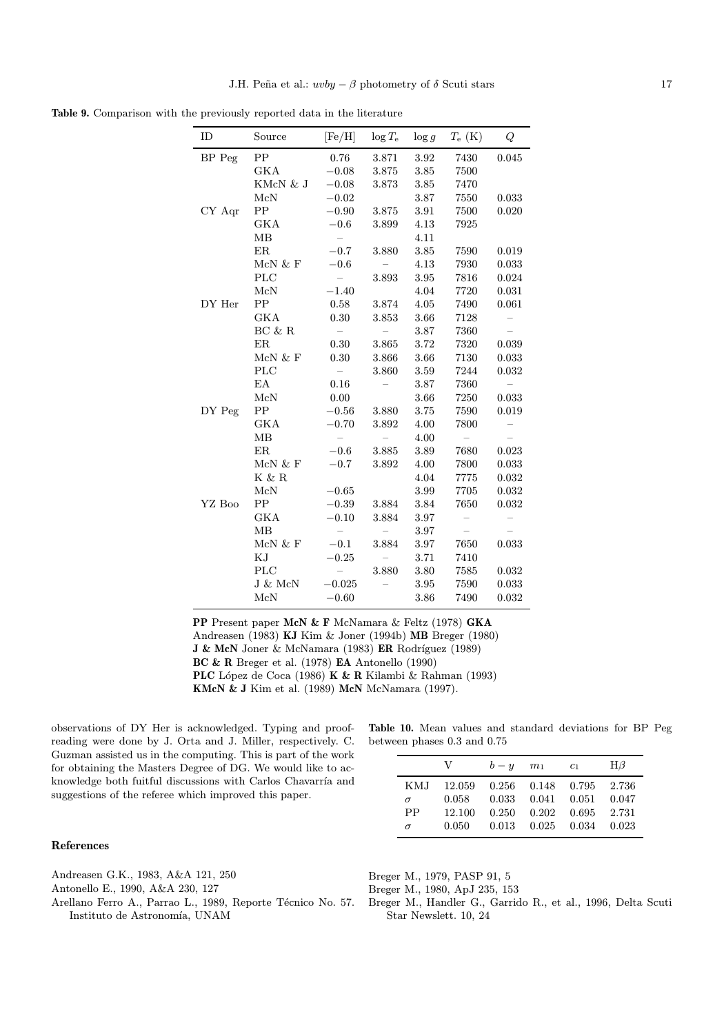Table 9. Comparison with the previously reported data in the literature

| ID     | Source                                   | [Fe/H]                   | $\log T_{\rm e}$         | $\log g$ | $T_{\rm e}$ (K)          | Q        |
|--------|------------------------------------------|--------------------------|--------------------------|----------|--------------------------|----------|
| BP Peg | ${\rm PP}$                               | 0.76                     | 3.871                    | 3.92     | 7430                     | 0.045    |
|        | GKA                                      | $-0.08$                  | 3.875                    | 3.85     | 7500                     |          |
|        | KMcN & J                                 | $-0.08$                  | 3.873                    | 3.85     | 7470                     |          |
|        | McN                                      | $-0.02$                  |                          | 3.87     | 7550                     | 0.033    |
| CY Aqr | PP                                       | $-0.90$                  | 3.875                    | 3.91     | 7500                     | 0.020    |
|        | <b>GKA</b>                               | $-0.6$                   | 3.899                    | 4.13     | 7925                     |          |
|        | MB                                       | $\equiv$                 |                          | 4.11     |                          |          |
|        | ER                                       | $-0.7$                   | 3.880                    | 3.85     | 7590                     | 0.019    |
|        | McN & F                                  | $-0.6$                   | $\overline{\phantom{0}}$ | 4.13     | 7930                     | 0.033    |
|        | <b>PLC</b>                               | $\equiv$                 | 3.893                    | 3.95     | 7816                     | 0.024    |
|        | $\ensuremath{\text{McN}}$                | $-1.40$                  |                          | 4.04     | 7720                     | 0.031    |
| DY Her | PP                                       | 0.58                     | 3.874                    | 4.05     | 7490                     | 0.061    |
|        | <b>GKA</b>                               | 0.30                     | 3.853                    | 3.66     | 7128                     | $\equiv$ |
|        | $\operatorname{BC}$ & $\operatorname{R}$ | $\hspace{0.1mm}$         | $\qquad \qquad -$        | 3.87     | 7360                     |          |
|        | <b>ER</b>                                | 0.30                     | 3.865                    | 3.72     | 7320                     | 0.039    |
|        | McN $\&$ F                               | 0.30                     | 3.866                    | 3.66     | 7130                     | 0.033    |
|        | <b>PLC</b>                               | $\overline{\phantom{a}}$ | 3.860                    | 3.59     | 7244                     | 0.032    |
|        | EA                                       | 0.16                     |                          | 3.87     | 7360                     | $\equiv$ |
|        | McN                                      | 0.00                     |                          | 3.66     | 7250                     | 0.033    |
| DY Peg | PP                                       | $-0.56$                  | 3.880                    | 3.75     | 7590                     | 0.019    |
|        | GKA                                      | $-0.70$                  | 3.892                    | 4.00     | 7800                     | $\equiv$ |
|        | MB                                       | $\equiv$                 |                          | 4.00     | $\overline{\phantom{0}}$ | $\equiv$ |
|        | ER                                       | $-0.6$                   | 3.885                    | 3.89     | 7680                     | 0.023    |
|        | McN & F                                  | $-0.7$                   | 3.892                    | 4.00     | 7800                     | 0.033    |
|        | $K \& R$                                 |                          |                          | 4.04     | 7775                     | 0.032    |
|        | McN                                      | $-0.65$                  |                          | 3.99     | 7705                     | 0.032    |
| YZ Boo | PP                                       | $-0.39$                  | 3.884                    | 3.84     | 7650                     | 0.032    |
|        | <b>GKA</b>                               | $-0.10$                  | 3.884                    | 3.97     |                          |          |
|        | MB                                       | $\overline{\phantom{0}}$ |                          | 3.97     | $\equiv$                 |          |
|        | McN $\&$ F                               | $-0.1$                   | 3.884                    | 3.97     | 7650                     | 0.033    |
|        | KJ                                       | $-0.25$                  |                          | 3.71     | 7410                     |          |
|        | <b>PLC</b>                               | $\overline{\phantom{m}}$ | 3.880                    | 3.80     | 7585                     | 0.032    |
|        | J & McN                                  | $-0.025$                 |                          | 3.95     | 7590                     | 0.033    |
|        | McN                                      | $-0.60$                  |                          | 3.86     | 7490                     | 0.032    |

PP Present paper McN & F McNamara & Feltz (1978) GKA Andreasen (1983) KJ Kim & Joner (1994b) MB Breger (1980) J & McN Joner & McNamara (1983) ER Rodríguez (1989) BC & R Breger et al. (1978) EA Antonello (1990) PLC López de Coca (1986) K & R Kilambi & Rahman (1993) KMcN & J Kim et al. (1989) McN McNamara (1997).

observations of DY Her is acknowledged. Typing and proofreading were done by J. Orta and J. Miller, respectively. C. Guzman assisted us in the computing. This is part of the work for obtaining the Masters Degree of DG. We would like to acknowledge both fuitful discussions with Carlos Chavarría and suggestions of the referee which improved this paper.

## References

Andreasen G.K., 1983, A&A 121, 250

Antonello E., 1990, A&A 230, 127

Arellano Ferro A., Parrao L., 1989, Reporte Técnico No. 57. Instituto de Astronomía, UNAM

Table 10. Mean values and standard deviations for BP Peg between phases 0.3 and 0.75

|           | V      | $b - y$ | m <sub>1</sub>          | c <sub>1</sub> | $H\beta$ |
|-----------|--------|---------|-------------------------|----------------|----------|
| KMJ       | 12.059 |         | $0.256$ $0.148$ $0.795$ |                | 2.736    |
| $\sigma$  | 0.058  | 0.033   | 0.041                   | 0.051          | 0.047    |
| <b>PP</b> | 12.100 | 0.250   | 0.202                   | 0.695          | 2.731    |
| $\sigma$  | 0.050  | 0.013   | 0.025                   | 0.034          | 0.023    |

Breger M., 1979, PASP 91, 5

Breger M., 1980, ApJ 235, 153

Breger M., Handler G., Garrido R., et al., 1996, Delta Scuti Star Newslett. 10, 24